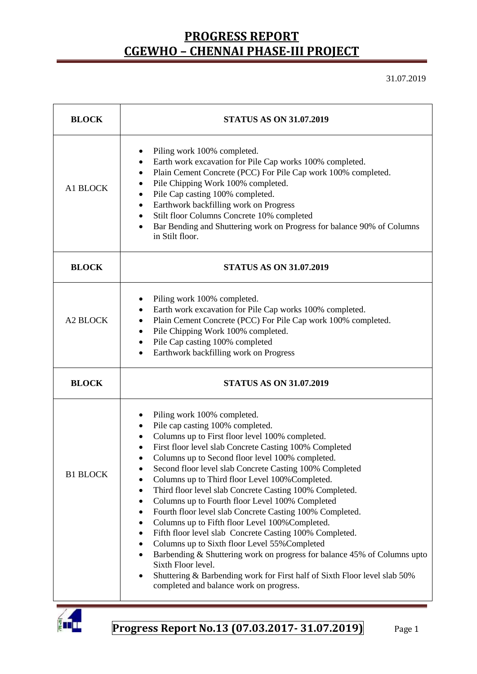31.07.2019

| <b>BLOCK</b>    | <b>STATUS AS ON 31.07.2019</b>                                                                                                                                                                                                                                                                                                                                                                                                                                                                                                                                                                                                                                                                                                                                                                                                                                                                                                                                                                        |  |  |  |
|-----------------|-------------------------------------------------------------------------------------------------------------------------------------------------------------------------------------------------------------------------------------------------------------------------------------------------------------------------------------------------------------------------------------------------------------------------------------------------------------------------------------------------------------------------------------------------------------------------------------------------------------------------------------------------------------------------------------------------------------------------------------------------------------------------------------------------------------------------------------------------------------------------------------------------------------------------------------------------------------------------------------------------------|--|--|--|
| A1 BLOCK        | Piling work 100% completed.<br>Earth work excavation for Pile Cap works 100% completed.<br>٠<br>Plain Cement Concrete (PCC) For Pile Cap work 100% completed.<br>٠<br>Pile Chipping Work 100% completed.<br>٠<br>Pile Cap casting 100% completed.<br>٠<br>Earthwork backfilling work on Progress<br>$\bullet$<br>Stilt floor Columns Concrete 10% completed<br>٠<br>Bar Bending and Shuttering work on Progress for balance 90% of Columns<br>$\bullet$<br>in Stilt floor.                                                                                                                                                                                                                                                                                                                                                                                                                                                                                                                            |  |  |  |
| <b>BLOCK</b>    | <b>STATUS AS ON 31.07.2019</b>                                                                                                                                                                                                                                                                                                                                                                                                                                                                                                                                                                                                                                                                                                                                                                                                                                                                                                                                                                        |  |  |  |
| <b>A2 BLOCK</b> | Piling work 100% completed.<br>٠<br>Earth work excavation for Pile Cap works 100% completed.<br>٠<br>Plain Cement Concrete (PCC) For Pile Cap work 100% completed.<br>$\bullet$<br>Pile Chipping Work 100% completed.<br>٠<br>Pile Cap casting 100% completed<br>٠<br>Earthwork backfilling work on Progress                                                                                                                                                                                                                                                                                                                                                                                                                                                                                                                                                                                                                                                                                          |  |  |  |
| <b>BLOCK</b>    | <b>STATUS AS ON 31.07.2019</b>                                                                                                                                                                                                                                                                                                                                                                                                                                                                                                                                                                                                                                                                                                                                                                                                                                                                                                                                                                        |  |  |  |
| <b>B1 BLOCK</b> | Piling work 100% completed.<br>٠<br>Pile cap casting 100% completed.<br>$\bullet$<br>Columns up to First floor level 100% completed.<br>٠<br>First floor level slab Concrete Casting 100% Completed<br>٠<br>Columns up to Second floor level 100% completed.<br>Second floor level slab Concrete Casting 100% Completed<br>Columns up to Third floor Level 100% Completed.<br>Third floor level slab Concrete Casting 100% Completed.<br>٠<br>Columns up to Fourth floor Level 100% Completed<br>٠<br>Fourth floor level slab Concrete Casting 100% Completed.<br>٠<br>Columns up to Fifth floor Level 100% Completed.<br>٠<br>Fifth floor level slab Concrete Casting 100% Completed.<br>٠<br>Columns up to Sixth floor Level 55% Completed<br>٠<br>Barbending & Shuttering work on progress for balance 45% of Columns upto<br>$\bullet$<br>Sixth Floor level.<br>Shuttering & Barbending work for First half of Sixth Floor level slab 50%<br>$\bullet$<br>completed and balance work on progress. |  |  |  |

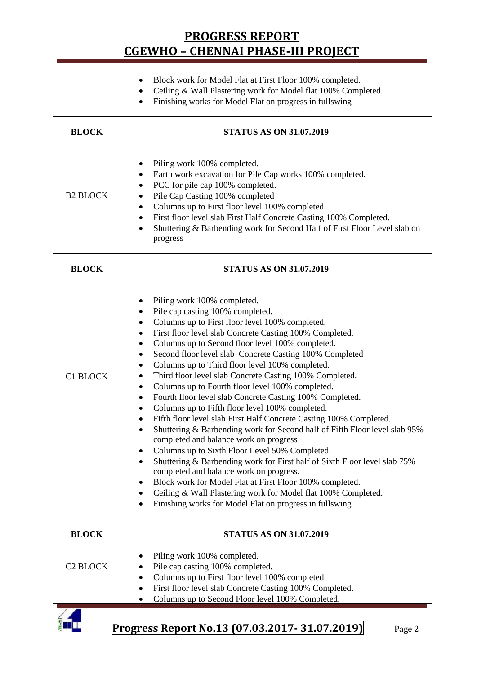|                      | Block work for Model Flat at First Floor 100% completed.<br>٠<br>Ceiling & Wall Plastering work for Model flat 100% Completed.<br>$\bullet$<br>Finishing works for Model Flat on progress in fullswing<br>$\bullet$                                                                                                                                                                                                                                                                                                                                                                                                                                                                                                                                                                                                                                                                                                                                                                                                                                                                                                                                                                                                               |  |  |  |  |
|----------------------|-----------------------------------------------------------------------------------------------------------------------------------------------------------------------------------------------------------------------------------------------------------------------------------------------------------------------------------------------------------------------------------------------------------------------------------------------------------------------------------------------------------------------------------------------------------------------------------------------------------------------------------------------------------------------------------------------------------------------------------------------------------------------------------------------------------------------------------------------------------------------------------------------------------------------------------------------------------------------------------------------------------------------------------------------------------------------------------------------------------------------------------------------------------------------------------------------------------------------------------|--|--|--|--|
| <b>BLOCK</b>         | <b>STATUS AS ON 31.07.2019</b>                                                                                                                                                                                                                                                                                                                                                                                                                                                                                                                                                                                                                                                                                                                                                                                                                                                                                                                                                                                                                                                                                                                                                                                                    |  |  |  |  |
| <b>B2 BLOCK</b>      | Piling work 100% completed.<br>٠<br>Earth work excavation for Pile Cap works 100% completed.<br>٠<br>PCC for pile cap 100% completed.<br>$\bullet$<br>Pile Cap Casting 100% completed<br>٠<br>Columns up to First floor level 100% completed.<br>٠<br>First floor level slab First Half Concrete Casting 100% Completed.<br>٠<br>Shuttering & Barbending work for Second Half of First Floor Level slab on<br>progress                                                                                                                                                                                                                                                                                                                                                                                                                                                                                                                                                                                                                                                                                                                                                                                                            |  |  |  |  |
| <b>BLOCK</b>         | <b>STATUS AS ON 31.07.2019</b>                                                                                                                                                                                                                                                                                                                                                                                                                                                                                                                                                                                                                                                                                                                                                                                                                                                                                                                                                                                                                                                                                                                                                                                                    |  |  |  |  |
| C1 BLOCK             | Piling work 100% completed.<br>$\bullet$<br>Pile cap casting 100% completed.<br>٠<br>Columns up to First floor level 100% completed.<br>٠<br>First floor level slab Concrete Casting 100% Completed.<br>٠<br>Columns up to Second floor level 100% completed.<br>٠<br>Second floor level slab Concrete Casting 100% Completed<br>Columns up to Third floor level 100% completed.<br>٠<br>Third floor level slab Concrete Casting 100% Completed.<br>٠<br>Columns up to Fourth floor level 100% completed.<br>٠<br>Fourth floor level slab Concrete Casting 100% Completed.<br>٠<br>Columns up to Fifth floor level 100% completed.<br>٠<br>Fifth floor level slab First Half Concrete Casting 100% Completed.<br>Shuttering & Barbending work for Second half of Fifth Floor level slab 95%<br>completed and balance work on progress<br>Columns up to Sixth Floor Level 50% Completed.<br>$\bullet$<br>Shuttering & Barbending work for First half of Sixth Floor level slab 75%<br>$\bullet$<br>completed and balance work on progress.<br>Block work for Model Flat at First Floor 100% completed.<br>Ceiling & Wall Plastering work for Model flat 100% Completed.<br>Finishing works for Model Flat on progress in fullswing |  |  |  |  |
| <b>BLOCK</b>         | <b>STATUS AS ON 31.07.2019</b>                                                                                                                                                                                                                                                                                                                                                                                                                                                                                                                                                                                                                                                                                                                                                                                                                                                                                                                                                                                                                                                                                                                                                                                                    |  |  |  |  |
| C <sub>2</sub> BLOCK | Piling work 100% completed.<br>٠<br>Pile cap casting 100% completed.<br>Columns up to First floor level 100% completed.<br>First floor level slab Concrete Casting 100% Completed.<br>$\bullet$<br>Columns up to Second Floor level 100% Completed.                                                                                                                                                                                                                                                                                                                                                                                                                                                                                                                                                                                                                                                                                                                                                                                                                                                                                                                                                                               |  |  |  |  |

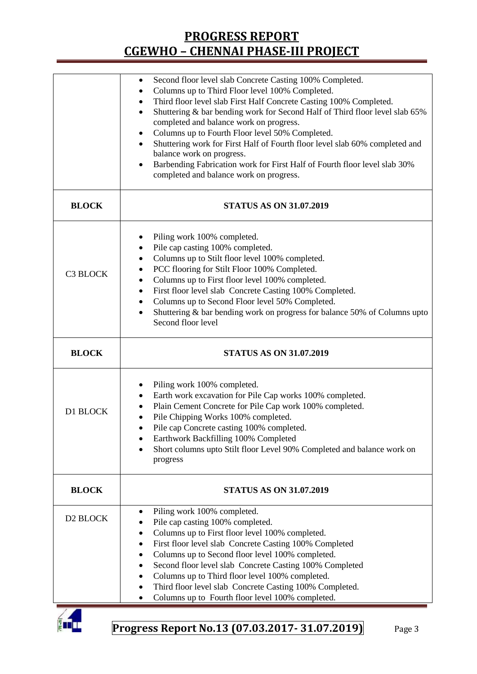|              | Second floor level slab Concrete Casting 100% Completed.<br>$\bullet$<br>Columns up to Third Floor level 100% Completed.<br>$\bullet$<br>Third floor level slab First Half Concrete Casting 100% Completed.<br>٠<br>Shuttering & bar bending work for Second Half of Third floor level slab 65%<br>$\bullet$<br>completed and balance work on progress.<br>Columns up to Fourth Floor level 50% Completed.<br>٠<br>Shuttering work for First Half of Fourth floor level slab 60% completed and<br>balance work on progress.<br>Barbending Fabrication work for First Half of Fourth floor level slab 30%<br>$\bullet$<br>completed and balance work on progress. |  |  |  |
|--------------|------------------------------------------------------------------------------------------------------------------------------------------------------------------------------------------------------------------------------------------------------------------------------------------------------------------------------------------------------------------------------------------------------------------------------------------------------------------------------------------------------------------------------------------------------------------------------------------------------------------------------------------------------------------|--|--|--|
| <b>BLOCK</b> | <b>STATUS AS ON 31.07.2019</b>                                                                                                                                                                                                                                                                                                                                                                                                                                                                                                                                                                                                                                   |  |  |  |
| C3 BLOCK     | Piling work 100% completed.<br>٠<br>Pile cap casting 100% completed.<br>$\bullet$<br>Columns up to Stilt floor level 100% completed.<br>$\bullet$<br>PCC flooring for Stilt Floor 100% Completed.<br>٠<br>Columns up to First floor level 100% completed.<br>٠<br>First floor level slab Concrete Casting 100% Completed.<br>٠<br>Columns up to Second Floor level 50% Completed.<br>$\bullet$<br>Shuttering & bar bending work on progress for balance 50% of Columns upto<br>$\bullet$<br>Second floor level                                                                                                                                                   |  |  |  |
| <b>BLOCK</b> | <b>STATUS AS ON 31.07.2019</b>                                                                                                                                                                                                                                                                                                                                                                                                                                                                                                                                                                                                                                   |  |  |  |
| D1 BLOCK     | Piling work 100% completed.<br>٠<br>Earth work excavation for Pile Cap works 100% completed.<br>٠<br>Plain Cement Concrete for Pile Cap work 100% completed.<br>٠<br>Pile Chipping Works 100% completed.<br>Pile cap Concrete casting 100% completed.<br>Earthwork Backfilling 100% Completed<br>٠<br>Short columns upto Stilt floor Level 90% Completed and balance work on<br>progress                                                                                                                                                                                                                                                                         |  |  |  |
| <b>BLOCK</b> | <b>STATUS AS ON 31.07.2019</b>                                                                                                                                                                                                                                                                                                                                                                                                                                                                                                                                                                                                                                   |  |  |  |
| D2 BLOCK     | Piling work 100% completed.<br>Pile cap casting 100% completed.<br>Columns up to First floor level 100% completed.<br>First floor level slab Concrete Casting 100% Completed<br>٠<br>Columns up to Second floor level 100% completed.<br>٠<br>Second floor level slab Concrete Casting 100% Completed<br>Columns up to Third floor level 100% completed.<br>Third floor level slab Concrete Casting 100% Completed.<br>Columns up to Fourth floor level 100% completed.<br>٠                                                                                                                                                                                     |  |  |  |

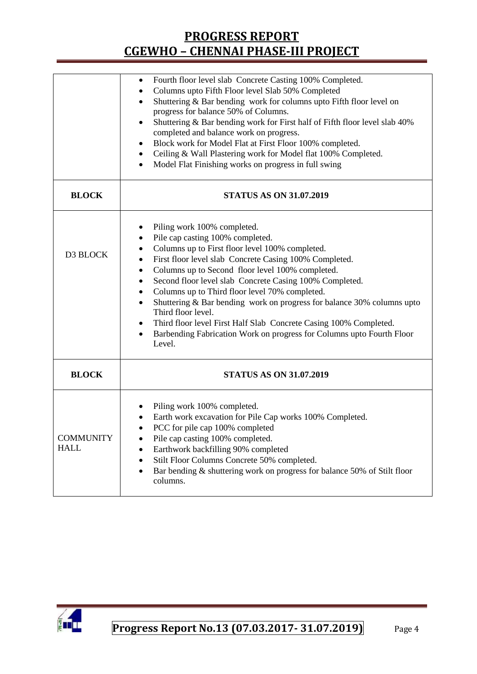|                                 | Fourth floor level slab Concrete Casting 100% Completed.<br>٠<br>Columns upto Fifth Floor level Slab 50% Completed<br>٠<br>Shuttering & Bar bending work for columns upto Fifth floor level on<br>$\bullet$<br>progress for balance 50% of Columns.<br>Shuttering & Bar bending work for First half of Fifth floor level slab 40%<br>completed and balance work on progress.<br>Block work for Model Flat at First Floor 100% completed.<br>٠<br>Ceiling & Wall Plastering work for Model flat 100% Completed.<br>٠<br>Model Flat Finishing works on progress in full swing                                                                 |  |  |  |  |
|---------------------------------|---------------------------------------------------------------------------------------------------------------------------------------------------------------------------------------------------------------------------------------------------------------------------------------------------------------------------------------------------------------------------------------------------------------------------------------------------------------------------------------------------------------------------------------------------------------------------------------------------------------------------------------------|--|--|--|--|
| <b>BLOCK</b>                    | <b>STATUS AS ON 31.07.2019</b>                                                                                                                                                                                                                                                                                                                                                                                                                                                                                                                                                                                                              |  |  |  |  |
| D3 BLOCK                        | Piling work 100% completed.<br>Pile cap casting 100% completed.<br>Columns up to First floor level 100% completed.<br>First floor level slab Concrete Casing 100% Completed.<br>$\bullet$<br>Columns up to Second floor level 100% completed.<br>٠<br>Second floor level slab Concrete Casing 100% Completed.<br>٠<br>Columns up to Third floor level 70% completed.<br>٠<br>Shuttering & Bar bending work on progress for balance 30% columns upto<br>٠<br>Third floor level.<br>Third floor level First Half Slab Concrete Casing 100% Completed.<br>٠<br>Barbending Fabrication Work on progress for Columns upto Fourth Floor<br>Level. |  |  |  |  |
| <b>BLOCK</b>                    | <b>STATUS AS ON 31.07.2019</b>                                                                                                                                                                                                                                                                                                                                                                                                                                                                                                                                                                                                              |  |  |  |  |
| <b>COMMUNITY</b><br><b>HALL</b> | Piling work 100% completed.<br>Earth work excavation for Pile Cap works 100% Completed.<br>PCC for pile cap 100% completed<br>Pile cap casting 100% completed.<br>Earthwork backfilling 90% completed<br>Stilt Floor Columns Concrete 50% completed.<br>Bar bending & shuttering work on progress for balance 50% of Stilt floor<br>$\bullet$<br>columns.                                                                                                                                                                                                                                                                                   |  |  |  |  |

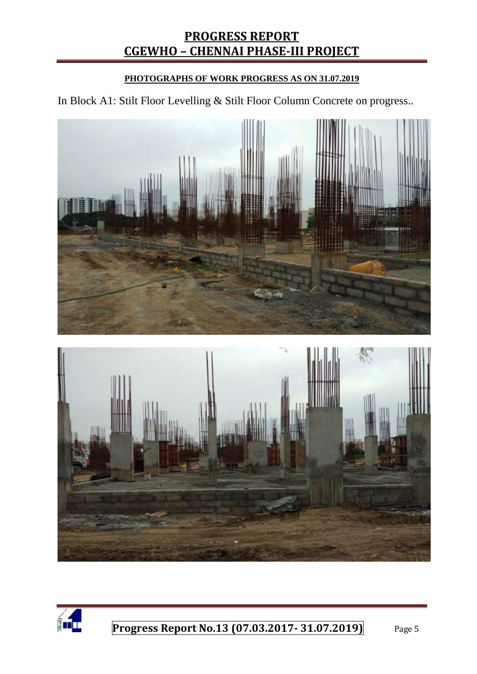#### **PHOTOGRAPHS OF WORK PROGRESS AS ON 31.07.2019**

In Block A1: Stilt Floor Levelling & Stilt Floor Column Concrete on progress..



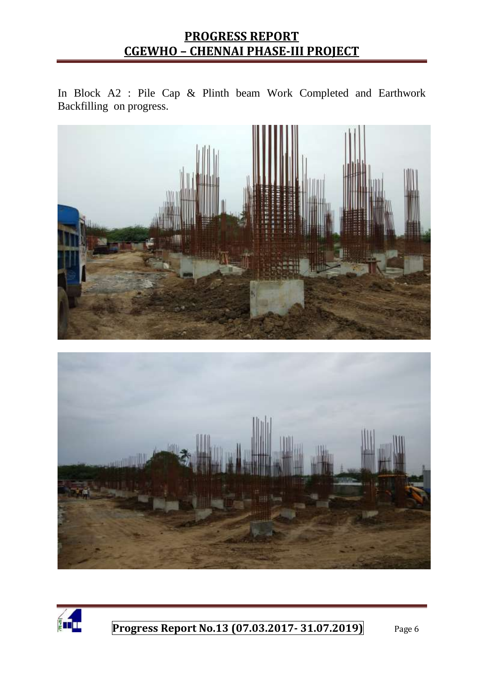In Block A2 : Pile Cap & Plinth beam Work Completed and Earthwork Backfilling on progress.





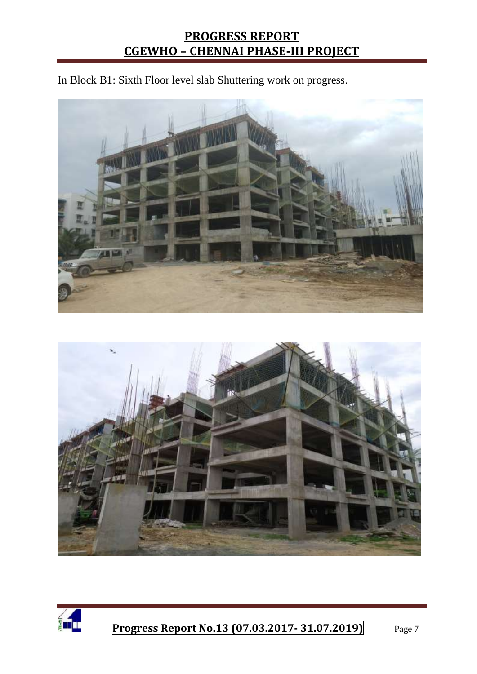In Block B1: Sixth Floor level slab Shuttering work on progress.





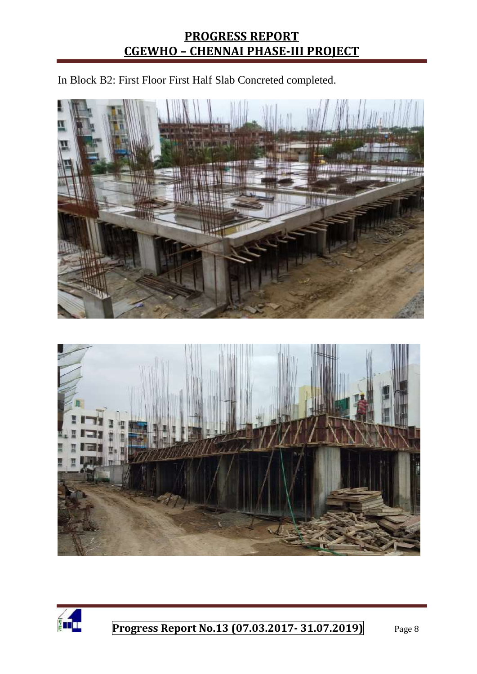In Block B2: First Floor First Half Slab Concreted completed.





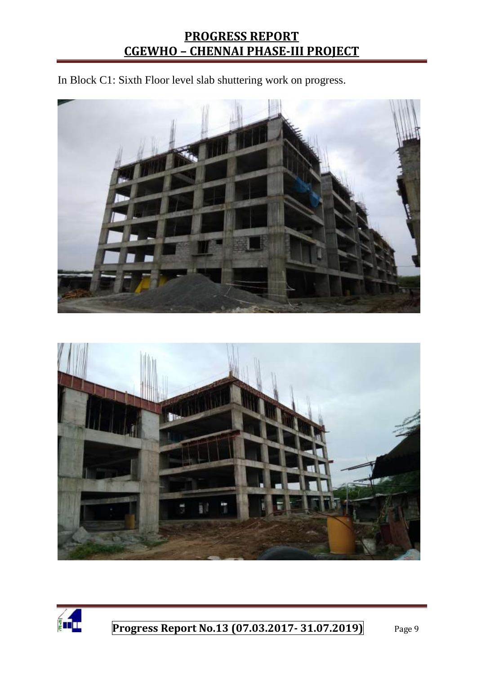In Block C1: Sixth Floor level slab shuttering work on progress.





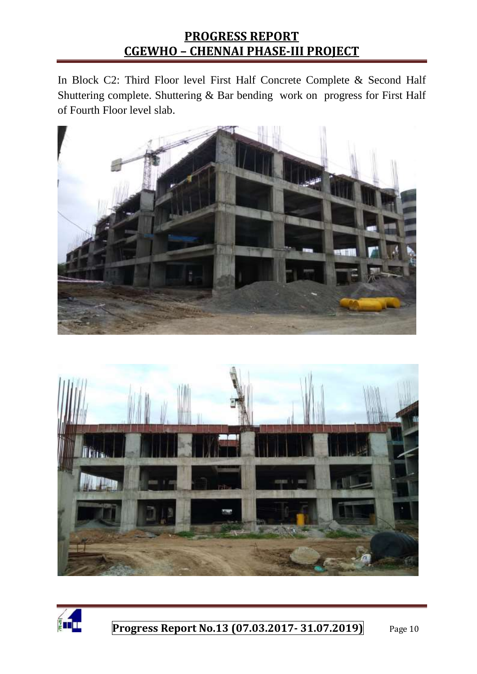In Block C2: Third Floor level First Half Concrete Complete & Second Half Shuttering complete. Shuttering & Bar bending work on progress for First Half of Fourth Floor level slab.





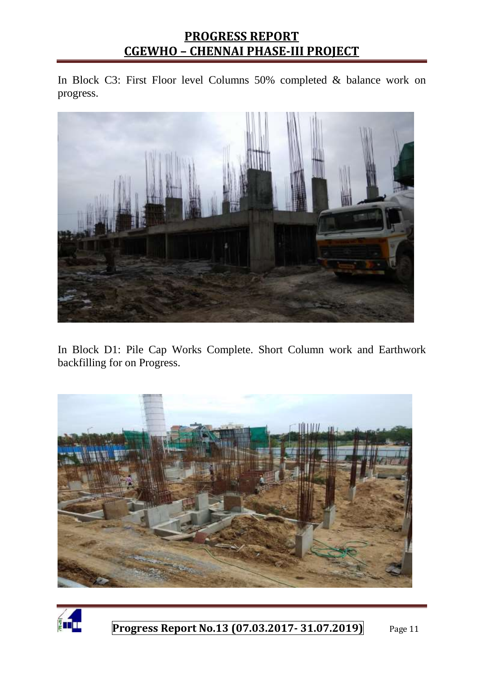In Block C3: First Floor level Columns 50% completed & balance work on progress.



In Block D1: Pile Cap Works Complete. Short Column work and Earthwork backfilling for on Progress.



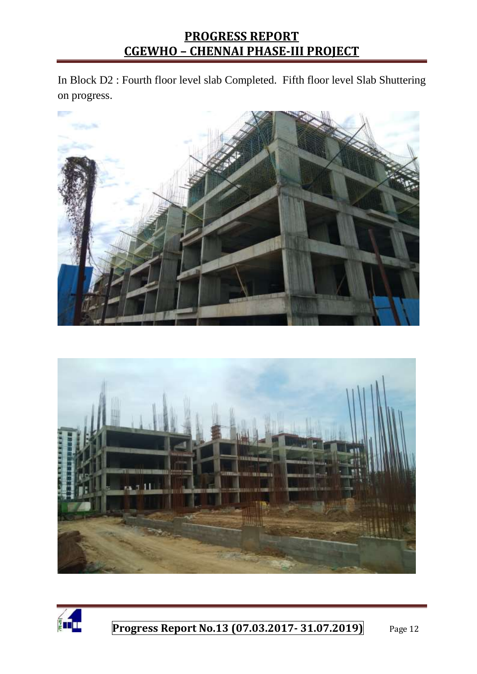In Block D2 : Fourth floor level slab Completed. Fifth floor level Slab Shuttering on progress.





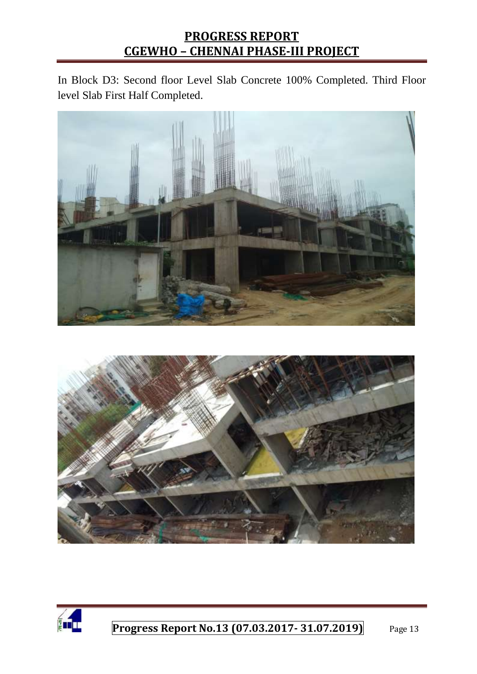In Block D3: Second floor Level Slab Concrete 100% Completed. Third Floor level Slab First Half Completed.





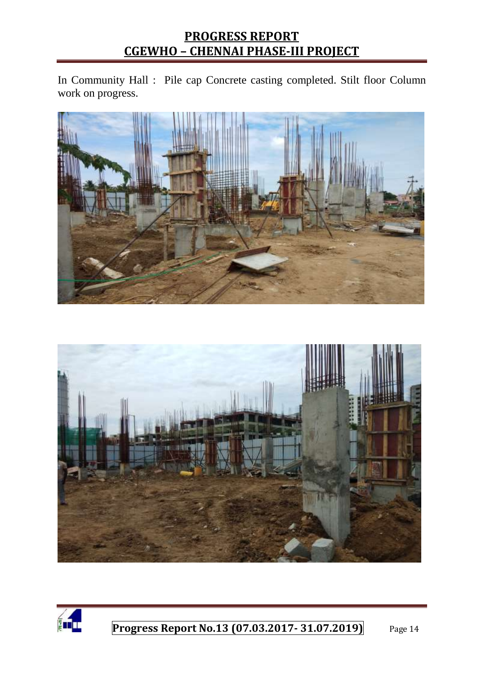In Community Hall : Pile cap Concrete casting completed. Stilt floor Column work on progress.





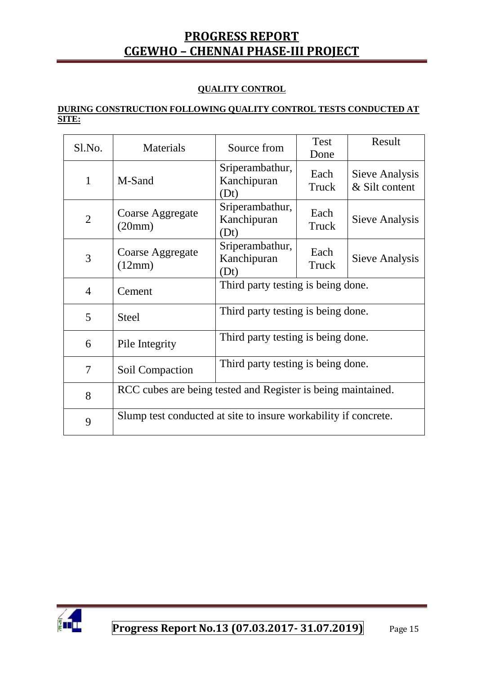#### **QUALITY CONTROL**

#### **DURING CONSTRUCTION FOLLOWING QUALITY CONTROL TESTS CONDUCTED AT SITE:**

| Sl.No.         | Materials                                                       | Source from                            | Test<br>Done  | Result                           |  |
|----------------|-----------------------------------------------------------------|----------------------------------------|---------------|----------------------------------|--|
| $\mathbf{1}$   | M-Sand                                                          | Sriperambathur,<br>Kanchipuran<br>(Dt) | Each<br>Truck | Sieve Analysis<br>& Silt content |  |
| $\overline{2}$ | Coarse Aggregate<br>(20mm)                                      | Sriperambathur,<br>Kanchipuran<br>(Dt) | Each<br>Truck | Sieve Analysis                   |  |
| 3              | Coarse Aggregate<br>(12mm)                                      | Sriperambathur,<br>Kanchipuran<br>(Dt) | Each<br>Truck | Sieve Analysis                   |  |
| $\overline{4}$ | Cement                                                          | Third party testing is being done.     |               |                                  |  |
| 5              | <b>Steel</b>                                                    | Third party testing is being done.     |               |                                  |  |
| 6              | Pile Integrity                                                  | Third party testing is being done.     |               |                                  |  |
| 7              | Soil Compaction                                                 | Third party testing is being done.     |               |                                  |  |
| 8              | RCC cubes are being tested and Register is being maintained.    |                                        |               |                                  |  |
| 9              | Slump test conducted at site to insure workability if concrete. |                                        |               |                                  |  |

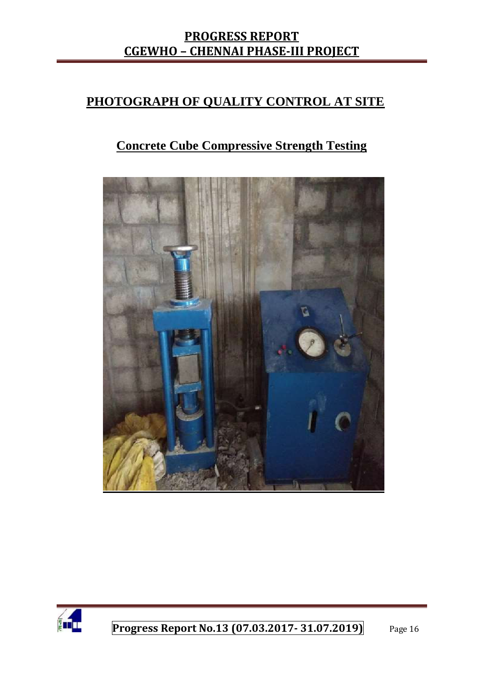#### **PHOTOGRAPH OF QUALITY CONTROL AT SITE**

### **Concrete Cube Compressive Strength Testing**



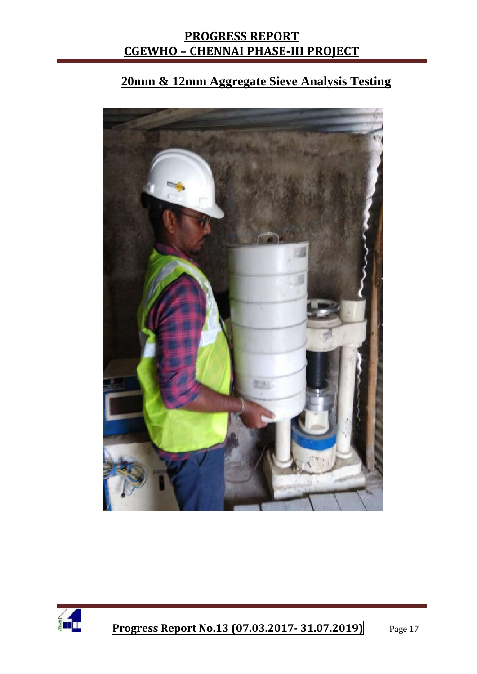# **20mm & 12mm Aggregate Sieve Analysis Testing**